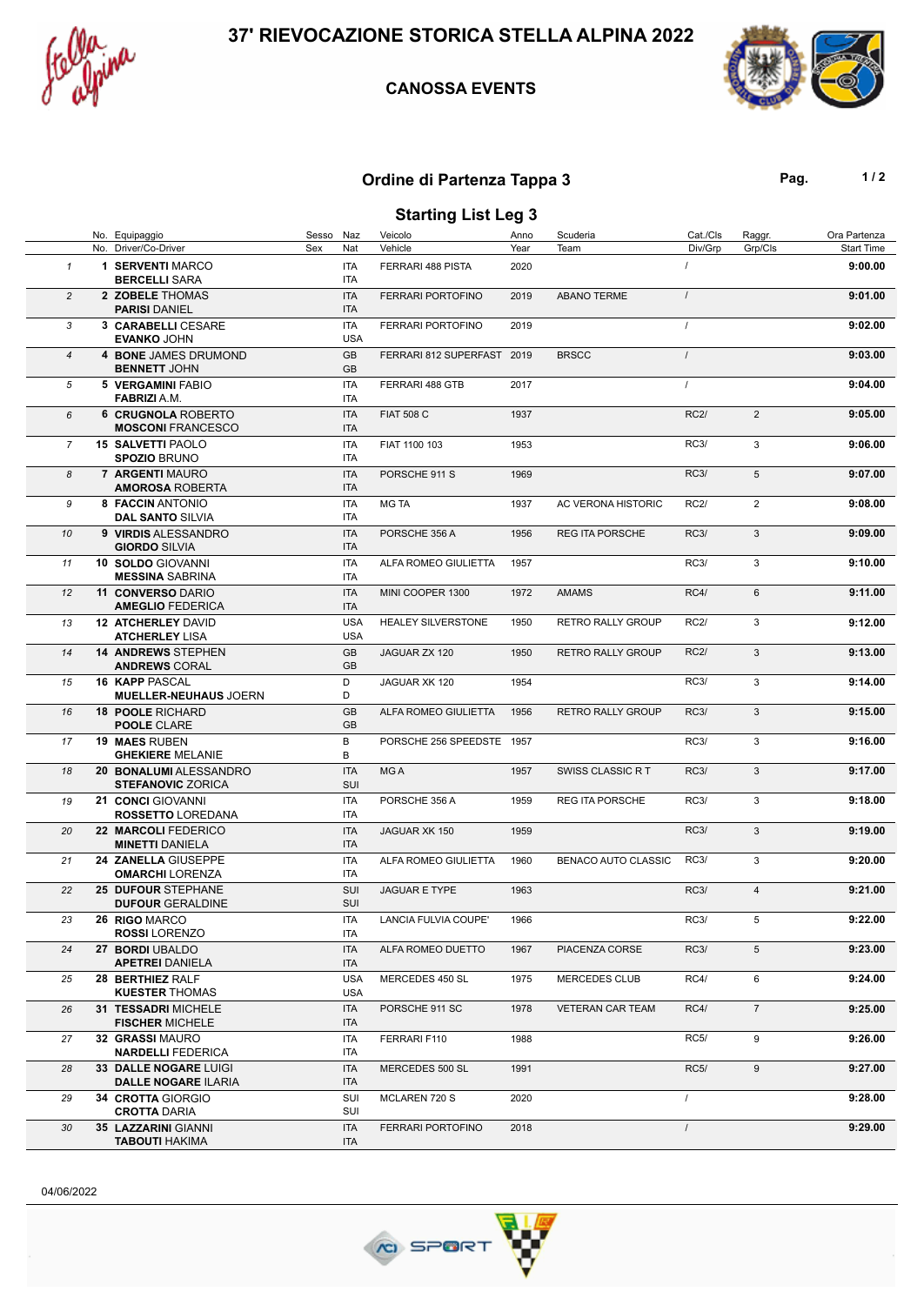

### **CANOSSA EVENTS**



# **Ordine di Partenza Tappa 3 Pag. Pag. 1/2**

## **Starting List Leg 3**

|                | No. Equipaggio                                        | Sesso Naz |                          | Veicolo                    | Anno | Scuderia                 | Cat./Cls    | Raggr.         | Ora Partenza      |
|----------------|-------------------------------------------------------|-----------|--------------------------|----------------------------|------|--------------------------|-------------|----------------|-------------------|
|                | No. Driver/Co-Driver                                  | Sex       | Nat                      | Vehicle                    | Year | Team                     | Div/Grp     | Grp/Cls        | <b>Start Time</b> |
| $\mathbf{1}$   | 1 SERVENTI MARCO<br><b>BERCELLI SARA</b>              |           | <b>ITA</b><br>ITA        | FERRARI 488 PISTA          | 2020 |                          |             |                | 9:00.00           |
| $\overline{c}$ | 2 ZOBELE THOMAS<br><b>PARISI DANIEL</b>               |           | <b>ITA</b><br><b>ITA</b> | <b>FERRARI PORTOFINO</b>   | 2019 | <b>ABANO TERME</b>       | $\prime$    |                | 9:01.00           |
| 3              | 3 CARABELLI CESARE<br><b>EVANKO JOHN</b>              |           | <b>ITA</b><br><b>USA</b> | <b>FERRARI PORTOFINO</b>   | 2019 |                          | $\prime$    |                | 9:02.00           |
| $\overline{4}$ | 4 BONE JAMES DRUMOND<br><b>BENNETT JOHN</b>           |           | GB<br>GB                 | FERRARI 812 SUPERFAST 2019 |      | <b>BRSCC</b>             | $\prime$    |                | 9:03.00           |
| 5              | <b>5 VERGAMINI FABIO</b><br><b>FABRIZI</b> A.M.       |           | ITA<br>ITA               | FERRARI 488 GTB            | 2017 |                          | $\prime$    |                | 9:04.00           |
| 6              | <b>6 CRUGNOLA ROBERTO</b><br><b>MOSCONI FRANCESCO</b> |           | <b>ITA</b><br><b>ITA</b> | <b>FIAT 508 C</b>          | 1937 |                          | <b>RC2/</b> | $\overline{2}$ | 9:05.00           |
| $\overline{7}$ | <b>15 SALVETTI PAOLO</b><br><b>SPOZIO BRUNO</b>       |           | ITA<br>ITA               | FIAT 1100 103              | 1953 |                          | <b>RC3/</b> | 3              | 9:06.00           |
| 8              | 7 ARGENTI MAURO<br><b>AMOROSA ROBERTA</b>             |           | <b>ITA</b><br><b>ITA</b> | PORSCHE 911 S              | 1969 |                          | RC3/        | 5              | 9:07.00           |
| 9              | 8 FACCIN ANTONIO<br><b>DAL SANTO SILVIA</b>           |           | ITA<br>ITA               | <b>MG TA</b>               | 1937 | AC VERONA HISTORIC       | <b>RC2/</b> | $\overline{2}$ | 9:08.00           |
| 10             | 9 VIRDIS ALESSANDRO<br><b>GIORDO SILVIA</b>           |           | <b>ITA</b><br><b>ITA</b> | PORSCHE 356 A              | 1956 | <b>REG ITA PORSCHE</b>   | RC3/        | 3              | 9:09.00           |
| 11             | 10 SOLDO GIOVANNI<br><b>MESSINA SABRINA</b>           |           | <b>ITA</b><br>ITA        | ALFA ROMEO GIULIETTA       | 1957 |                          | <b>RC3/</b> | 3              | 9:10.00           |
| 12             | 11 CONVERSO DARIO<br><b>AMEGLIO FEDERICA</b>          |           | <b>ITA</b><br><b>ITA</b> | MINI COOPER 1300           | 1972 | <b>AMAMS</b>             | RC4/        | 6              | 9:11.00           |
| 13             | <b>12 ATCHERLEY DAVID</b><br><b>ATCHERLEY LISA</b>    |           | <b>USA</b><br><b>USA</b> | <b>HEALEY SILVERSTONE</b>  | 1950 | RETRO RALLY GROUP        | <b>RC2/</b> | 3              | 9:12.00           |
| 14             | <b>14 ANDREWS STEPHEN</b><br><b>ANDREWS CORAL</b>     |           | GB<br>GB                 | JAGUAR ZX 120              | 1950 | <b>RETRO RALLY GROUP</b> | RC2/        | 3              | 9:13.00           |
| 15             | <b>16 KAPP PASCAL</b><br><b>MUELLER-NEUHAUS JOERN</b> |           | D<br>D                   | JAGUAR XK 120              | 1954 |                          | <b>RC3/</b> | 3              | 9:14.00           |
| 16             | <b>18 POOLE RICHARD</b><br><b>POOLE CLARE</b>         |           | GB<br>GB                 | ALFA ROMEO GIULIETTA       | 1956 | <b>RETRO RALLY GROUP</b> | <b>RC3/</b> | 3              | 9:15.00           |
| 17             | <b>19 MAES RUBEN</b><br><b>GHEKIERE MELANIE</b>       |           | В<br>В                   | PORSCHE 256 SPEEDSTE 1957  |      |                          | <b>RC3/</b> | 3              | 9:16.00           |
| 18             | 20 BONALUMI ALESSANDRO<br><b>STEFANOVIC ZORICA</b>    |           | <b>ITA</b><br>SUI        | MG A                       | 1957 | SWISS CLASSIC RT         | RC3/        | 3              | 9:17.00           |
| 19             | 21 CONCI GIOVANNI<br>ROSSETTO LOREDANA                |           | <b>ITA</b><br>ITA        | PORSCHE 356 A              | 1959 | <b>REG ITA PORSCHE</b>   | <b>RC3/</b> | 3              | 9:18.00           |
| 20             | 22 MARCOLI FEDERICO<br><b>MINETTI DANIELA</b>         |           | <b>ITA</b><br><b>ITA</b> | JAGUAR XK 150              | 1959 |                          | <b>RC3/</b> | 3              | 9:19.00           |
| 21             | 24 ZANELLA GIUSEPPE<br><b>OMARCHI LORENZA</b>         |           | ITA<br>ITA               | ALFA ROMEO GIULIETTA       | 1960 | BENACO AUTO CLASSIC      | <b>RC3/</b> | 3              | 9:20.00           |
| 22             | 25 DUFOUR STEPHANE<br><b>DUFOUR GERALDINE</b>         |           | SUI<br><b>SUI</b>        | <b>JAGUAR E TYPE</b>       | 1963 |                          | <b>RC3/</b> | $\overline{4}$ | 9:21.00           |
| 23             | 26 RIGO MARCO<br><b>ROSSI LORENZO</b>                 |           | <b>ITA</b><br>ITA        | LANCIA FULVIA COUPE'       | 1966 |                          | RC3/        | 5              | 9:22.00           |
| 24             | 27 BORDI UBALDO<br><b>APETREI DANIELA</b>             |           | <b>ITA</b><br>ITA        | ALFA ROMEO DUETTO          | 1967 | PIACENZA CORSE           | RC3/        | 5              | 9:23.00           |
| 25             | 28 BERTHIEZ RALF<br><b>KUESTER THOMAS</b>             |           | <b>USA</b><br><b>USA</b> | MERCEDES 450 SL            | 1975 | <b>MERCEDES CLUB</b>     | <b>RC4/</b> | 6              | 9:24.00           |
| 26             | <b>31 TESSADRI MICHELE</b><br><b>FISCHER MICHELE</b>  |           | <b>ITA</b><br>ITA        | PORSCHE 911 SC             | 1978 | <b>VETERAN CAR TEAM</b>  | RC4/        | $\overline{7}$ | 9:25.00           |
| 27             | 32 GRASSI MAURO<br><b>NARDELLI FEDERICA</b>           |           | ITA<br>ITA               | FERRARI F110               | 1988 |                          | <b>RC5/</b> | 9              | 9:26.00           |
| 28             | 33 DALLE NOGARE LUIGI<br><b>DALLE NOGARE ILARIA</b>   |           | <b>ITA</b><br>ITA        | MERCEDES 500 SL            | 1991 |                          | <b>RC5/</b> | 9              | 9:27.00           |
| 29             | 34 CROTTA GIORGIO<br><b>CROTTA DARIA</b>              |           | SUI<br>SUI               | MCLAREN 720 S              | 2020 |                          | $\prime$    |                | 9:28.00           |
| 30             | 35 LAZZARINI GIANNI<br><b>TABOUTI HAKIMA</b>          |           | <b>ITA</b><br>ITA        | <b>FERRARI PORTOFINO</b>   | 2018 |                          | $\sqrt{2}$  |                | 9:29.00           |

04/06/2022